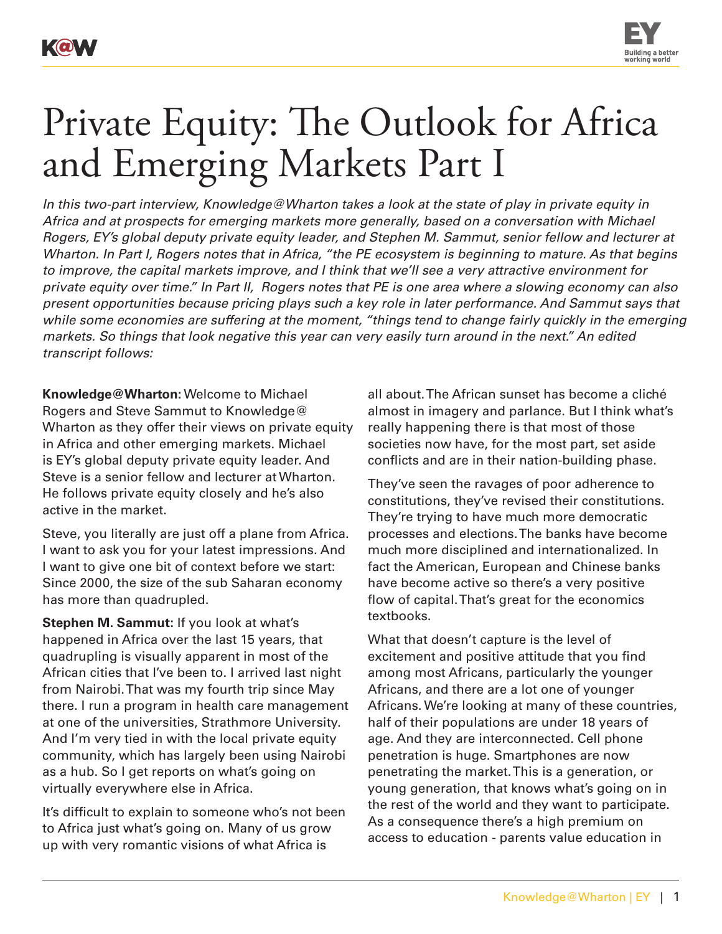

## Private Equity: The Outlook for Africa and Emerging Markets Part I

*In this two-part interview, Knowledge@Wharton takes a look at the state of play in private equity in Africa and at prospects for emerging markets more generally, based on a conversation with Michael Rogers, EY's global deputy private equity leader, and Stephen M. Sammut, senior fellow and lecturer at Wharton. In Part I, Rogers notes that in Africa, "the PE ecosystem is beginning to mature. As that begins to improve, the capital markets improve, and I think that we'll see a very attractive environment for private equity over time." In Part II, Rogers notes that PE is one area where a slowing economy can also present opportunities because pricing plays such a key role in later performance. And Sammut says that while some economies are suffering at the moment, "things tend to change fairly quickly in the emerging markets. So things that look negative this year can very easily turn around in the next." An edited transcript follows:*

**Knowledge@Wharton:** Welcome to Michael Rogers and Steve Sammut to Knowledge@ Wharton as they offer their views on private equity in Africa and other emerging markets. Michael is EY's global deputy private equity leader. And Steve is a senior fellow and lecturer at Wharton. He follows private equity closely and he's also active in the market.

Steve, you literally are just off a plane from Africa. I want to ask you for your latest impressions. And I want to give one bit of context before we start: Since 2000, the size of the sub Saharan economy has more than quadrupled.

**Stephen M. Sammut:** If you look at what's happened in Africa over the last 15 years, that quadrupling is visually apparent in most of the African cities that I've been to. I arrived last night from Nairobi. That was my fourth trip since May there. I run a program in health care management at one of the universities, Strathmore University. And I'm very tied in with the local private equity community, which has largely been using Nairobi as a hub. So I get reports on what's going on virtually everywhere else in Africa.

It's difficult to explain to someone who's not been to Africa just what's going on. Many of us grow up with very romantic visions of what Africa is

all about. The African sunset has become a cliché almost in imagery and parlance. But I think what's really happening there is that most of those societies now have, for the most part, set aside conflicts and are in their nation-building phase.

They've seen the ravages of poor adherence to constitutions, they've revised their constitutions. They're trying to have much more democratic processes and elections. The banks have become much more disciplined and internationalized. In fact the American, European and Chinese banks have become active so there's a very positive flow of capital. That's great for the economics textbooks.

What that doesn't capture is the level of excitement and positive attitude that you find among most Africans, particularly the younger Africans, and there are a lot one of younger Africans. We're looking at many of these countries, half of their populations are under 18 years of age. And they are interconnected. Cell phone penetration is huge. Smartphones are now penetrating the market. This is a generation, or young generation, that knows what's going on in the rest of the world and they want to participate. As a consequence there's a high premium on access to education - parents value education in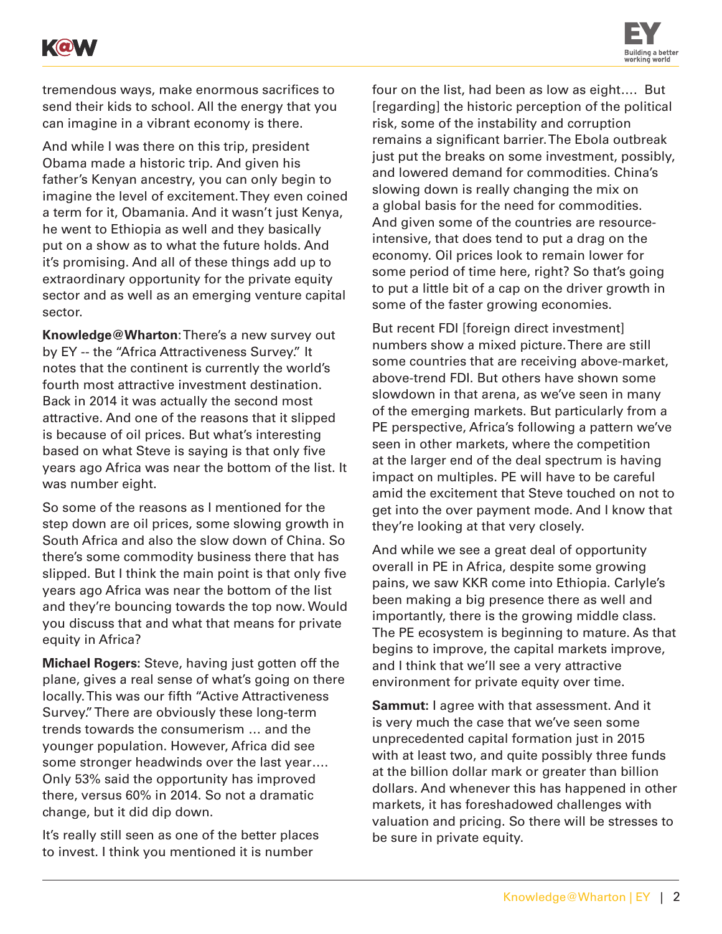



tremendous ways, make enormous sacrifices to send their kids to school. All the energy that you can imagine in a vibrant economy is there.

And while I was there on this trip, president Obama made a historic trip. And given his father's Kenyan ancestry, you can only begin to imagine the level of excitement. They even coined a term for it, Obamania. And it wasn't just Kenya, he went to Ethiopia as well and they basically put on a show as to what the future holds. And it's promising. And all of these things add up to extraordinary opportunity for the private equity sector and as well as an emerging venture capital sector.

**Knowledge@Wharton**: There's a new survey out by EY -- the "Africa Attractiveness Survey." It notes that the continent is currently the world's fourth most attractive investment destination. Back in 2014 it was actually the second most attractive. And one of the reasons that it slipped is because of oil prices. But what's interesting based on what Steve is saying is that only five years ago Africa was near the bottom of the list. It was number eight.

So some of the reasons as I mentioned for the step down are oil prices, some slowing growth in South Africa and also the slow down of China. So there's some commodity business there that has slipped. But I think the main point is that only five years ago Africa was near the bottom of the list and they're bouncing towards the top now. Would you discuss that and what that means for private equity in Africa?

**Michael Rogers:** Steve, having just gotten off the plane, gives a real sense of what's going on there locally. This was our fifth "Active Attractiveness Survey." There are obviously these long-term trends towards the consumerism … and the younger population. However, Africa did see some stronger headwinds over the last year…. Only 53% said the opportunity has improved there, versus 60% in 2014. So not a dramatic change, but it did dip down.

It's really still seen as one of the better places to invest. I think you mentioned it is number

four on the list, had been as low as eight…. But [regarding] the historic perception of the political risk, some of the instability and corruption remains a significant barrier. The Ebola outbreak just put the breaks on some investment, possibly, and lowered demand for commodities. China's slowing down is really changing the mix on a global basis for the need for commodities. And given some of the countries are resourceintensive, that does tend to put a drag on the economy. Oil prices look to remain lower for some period of time here, right? So that's going to put a little bit of a cap on the driver growth in some of the faster growing economies.

But recent FDI [foreign direct investment] numbers show a mixed picture. There are still some countries that are receiving above-market, above-trend FDI. But others have shown some slowdown in that arena, as we've seen in many of the emerging markets. But particularly from a PE perspective, Africa's following a pattern we've seen in other markets, where the competition at the larger end of the deal spectrum is having impact on multiples. PE will have to be careful amid the excitement that Steve touched on not to get into the over payment mode. And I know that they're looking at that very closely.

And while we see a great deal of opportunity overall in PE in Africa, despite some growing pains, we saw KKR come into Ethiopia. Carlyle's been making a big presence there as well and importantly, there is the growing middle class. The PE ecosystem is beginning to mature. As that begins to improve, the capital markets improve, and I think that we'll see a very attractive environment for private equity over time.

**Sammut:** I agree with that assessment. And it is very much the case that we've seen some unprecedented capital formation just in 2015 with at least two, and quite possibly three funds at the billion dollar mark or greater than billion dollars. And whenever this has happened in other markets, it has foreshadowed challenges with valuation and pricing. So there will be stresses to be sure in private equity.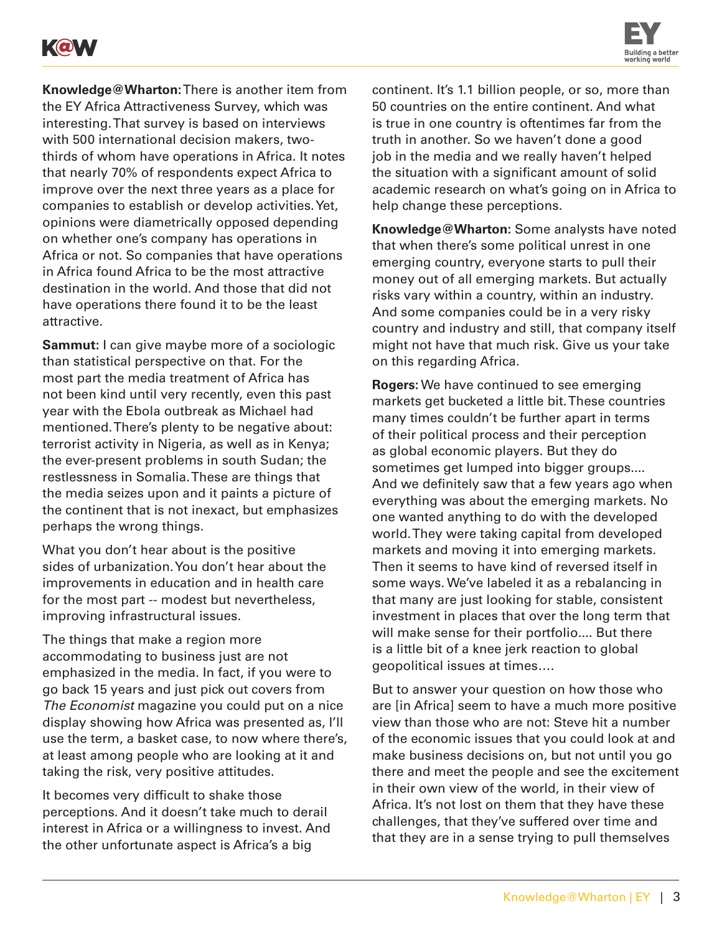



**Knowledge@Wharton:** There is another item from the EY Africa Attractiveness Survey, which was interesting. That survey is based on interviews with 500 international decision makers, twothirds of whom have operations in Africa. It notes that nearly 70% of respondents expect Africa to improve over the next three years as a place for companies to establish or develop activities. Yet, opinions were diametrically opposed depending on whether one's company has operations in Africa or not. So companies that have operations in Africa found Africa to be the most attractive destination in the world. And those that did not have operations there found it to be the least attractive.

**Sammut:** I can give maybe more of a sociologic than statistical perspective on that. For the most part the media treatment of Africa has not been kind until very recently, even this past year with the Ebola outbreak as Michael had mentioned. There's plenty to be negative about: terrorist activity in Nigeria, as well as in Kenya; the ever-present problems in south Sudan; the restlessness in Somalia. These are things that the media seizes upon and it paints a picture of the continent that is not inexact, but emphasizes perhaps the wrong things.

What you don't hear about is the positive sides of urbanization. You don't hear about the improvements in education and in health care for the most part -- modest but nevertheless, improving infrastructural issues.

The things that make a region more accommodating to business just are not emphasized in the media. In fact, if you were to go back 15 years and just pick out covers from *The Economist* magazine you could put on a nice display showing how Africa was presented as, I'll use the term, a basket case, to now where there's, at least among people who are looking at it and taking the risk, very positive attitudes.

It becomes very difficult to shake those perceptions. And it doesn't take much to derail interest in Africa or a willingness to invest. And the other unfortunate aspect is Africa's a big

continent. It's 1.1 billion people, or so, more than 50 countries on the entire continent. And what is true in one country is oftentimes far from the truth in another. So we haven't done a good job in the media and we really haven't helped the situation with a significant amount of solid academic research on what's going on in Africa to help change these perceptions.

**Knowledge@Wharton:** Some analysts have noted that when there's some political unrest in one emerging country, everyone starts to pull their money out of all emerging markets. But actually risks vary within a country, within an industry. And some companies could be in a very risky country and industry and still, that company itself might not have that much risk. Give us your take on this regarding Africa.

**Rogers:** We have continued to see emerging markets get bucketed a little bit. These countries many times couldn't be further apart in terms of their political process and their perception as global economic players. But they do sometimes get lumped into bigger groups.... And we definitely saw that a few years ago when everything was about the emerging markets. No one wanted anything to do with the developed world. They were taking capital from developed markets and moving it into emerging markets. Then it seems to have kind of reversed itself in some ways. We've labeled it as a rebalancing in that many are just looking for stable, consistent investment in places that over the long term that will make sense for their portfolio.... But there is a little bit of a knee jerk reaction to global geopolitical issues at times….

But to answer your question on how those who are [in Africa] seem to have a much more positive view than those who are not: Steve hit a number of the economic issues that you could look at and make business decisions on, but not until you go there and meet the people and see the excitement in their own view of the world, in their view of Africa. It's not lost on them that they have these challenges, that they've suffered over time and that they are in a sense trying to pull themselves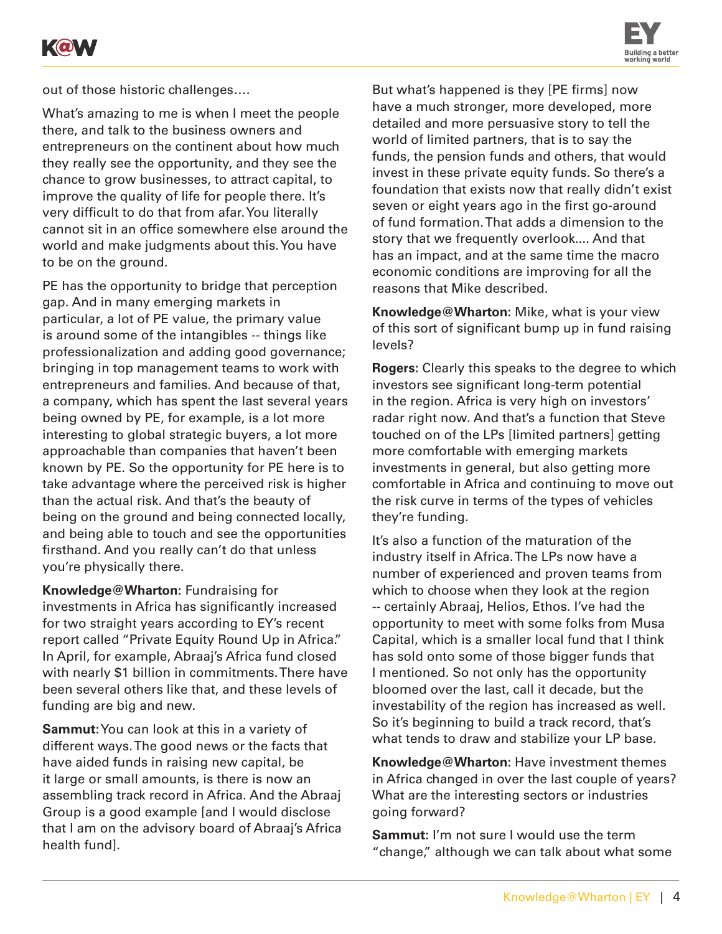



out of those historic challenges….

What's amazing to me is when I meet the people there, and talk to the business owners and entrepreneurs on the continent about how much they really see the opportunity, and they see the chance to grow businesses, to attract capital, to improve the quality of life for people there. It's very difficult to do that from afar. You literally cannot sit in an office somewhere else around the world and make judgments about this. You have to be on the ground.

PE has the opportunity to bridge that perception gap. And in many emerging markets in particular, a lot of PE value, the primary value is around some of the intangibles -- things like professionalization and adding good governance; bringing in top management teams to work with entrepreneurs and families. And because of that, a company, which has spent the last several years being owned by PE, for example, is a lot more interesting to global strategic buyers, a lot more approachable than companies that haven't been known by PE. So the opportunity for PE here is to take advantage where the perceived risk is higher than the actual risk. And that's the beauty of being on the ground and being connected locally, and being able to touch and see the opportunities firsthand. And you really can't do that unless you're physically there.

**Knowledge@Wharton:** Fundraising for investments in Africa has significantly increased for two straight years according to EY's recent report called "Private Equity Round Up in Africa." In April, for example, Abraaj's Africa fund closed with nearly \$1 billion in commitments. There have been several others like that, and these levels of funding are big and new.

**Sammut:** You can look at this in a variety of different ways. The good news or the facts that have aided funds in raising new capital, be it large or small amounts, is there is now an assembling track record in Africa. And the Abraaj Group is a good example [and I would disclose that I am on the advisory board of Abraaj's Africa health fund].

But what's happened is they [PE firms] now have a much stronger, more developed, more detailed and more persuasive story to tell the world of limited partners, that is to say the funds, the pension funds and others, that would invest in these private equity funds. So there's a foundation that exists now that really didn't exist seven or eight years ago in the first go-around of fund formation. That adds a dimension to the story that we frequently overlook.... And that has an impact, and at the same time the macro economic conditions are improving for all the reasons that Mike described.

**Knowledge@Wharton:** Mike, what is your view of this sort of significant bump up in fund raising levels?

**Rogers:** Clearly this speaks to the degree to which investors see significant long-term potential in the region. Africa is very high on investors' radar right now. And that's a function that Steve touched on of the LPs [limited partners] getting more comfortable with emerging markets investments in general, but also getting more comfortable in Africa and continuing to move out the risk curve in terms of the types of vehicles they're funding.

It's also a function of the maturation of the industry itself in Africa. The LPs now have a number of experienced and proven teams from which to choose when they look at the region -- certainly Abraaj, Helios, Ethos. I've had the opportunity to meet with some folks from Musa Capital, which is a smaller local fund that I think has sold onto some of those bigger funds that I mentioned. So not only has the opportunity bloomed over the last, call it decade, but the investability of the region has increased as well. So it's beginning to build a track record, that's what tends to draw and stabilize your LP base.

**Knowledge@Wharton:** Have investment themes in Africa changed in over the last couple of years? What are the interesting sectors or industries going forward?

**Sammut:** I'm not sure I would use the term "change," although we can talk about what some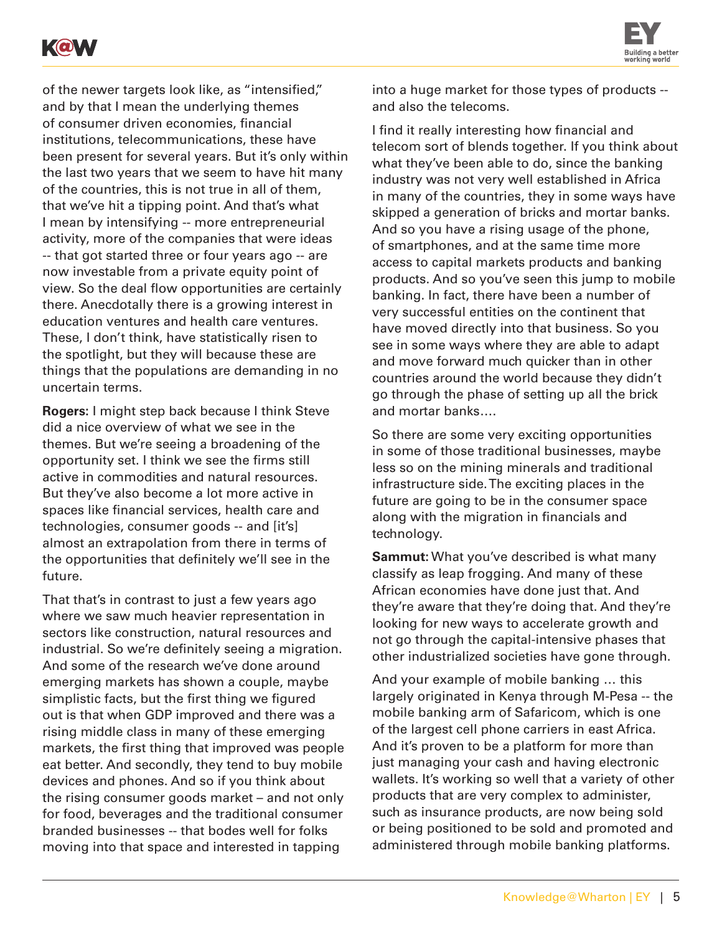



of the newer targets look like, as "intensified," and by that I mean the underlying themes of consumer driven economies, financial institutions, telecommunications, these have been present for several years. But it's only within the last two years that we seem to have hit many of the countries, this is not true in all of them, that we've hit a tipping point. And that's what I mean by intensifying -- more entrepreneurial activity, more of the companies that were ideas -- that got started three or four years ago -- are now investable from a private equity point of view. So the deal flow opportunities are certainly there. Anecdotally there is a growing interest in education ventures and health care ventures. These, I don't think, have statistically risen to the spotlight, but they will because these are things that the populations are demanding in no uncertain terms.

**Rogers:** I might step back because I think Steve did a nice overview of what we see in the themes. But we're seeing a broadening of the opportunity set. I think we see the firms still active in commodities and natural resources. But they've also become a lot more active in spaces like financial services, health care and technologies, consumer goods -- and [it's] almost an extrapolation from there in terms of the opportunities that definitely we'll see in the future.

That that's in contrast to just a few years ago where we saw much heavier representation in sectors like construction, natural resources and industrial. So we're definitely seeing a migration. And some of the research we've done around emerging markets has shown a couple, maybe simplistic facts, but the first thing we figured out is that when GDP improved and there was a rising middle class in many of these emerging markets, the first thing that improved was people eat better. And secondly, they tend to buy mobile devices and phones. And so if you think about the rising consumer goods market – and not only for food, beverages and the traditional consumer branded businesses -- that bodes well for folks moving into that space and interested in tapping

into a huge market for those types of products - and also the telecoms.

I find it really interesting how financial and telecom sort of blends together. If you think about what they've been able to do, since the banking industry was not very well established in Africa in many of the countries, they in some ways have skipped a generation of bricks and mortar banks. And so you have a rising usage of the phone, of smartphones, and at the same time more access to capital markets products and banking products. And so you've seen this jump to mobile banking. In fact, there have been a number of very successful entities on the continent that have moved directly into that business. So you see in some ways where they are able to adapt and move forward much quicker than in other countries around the world because they didn't go through the phase of setting up all the brick and mortar banks….

So there are some very exciting opportunities in some of those traditional businesses, maybe less so on the mining minerals and traditional infrastructure side. The exciting places in the future are going to be in the consumer space along with the migration in financials and technology.

**Sammut:** What you've described is what many classify as leap frogging. And many of these African economies have done just that. And they're aware that they're doing that. And they're looking for new ways to accelerate growth and not go through the capital-intensive phases that other industrialized societies have gone through.

And your example of mobile banking … this largely originated in Kenya through M-Pesa -- the mobile banking arm of Safaricom, which is one of the largest cell phone carriers in east Africa. And it's proven to be a platform for more than just managing your cash and having electronic wallets. It's working so well that a variety of other products that are very complex to administer, such as insurance products, are now being sold or being positioned to be sold and promoted and administered through mobile banking platforms.